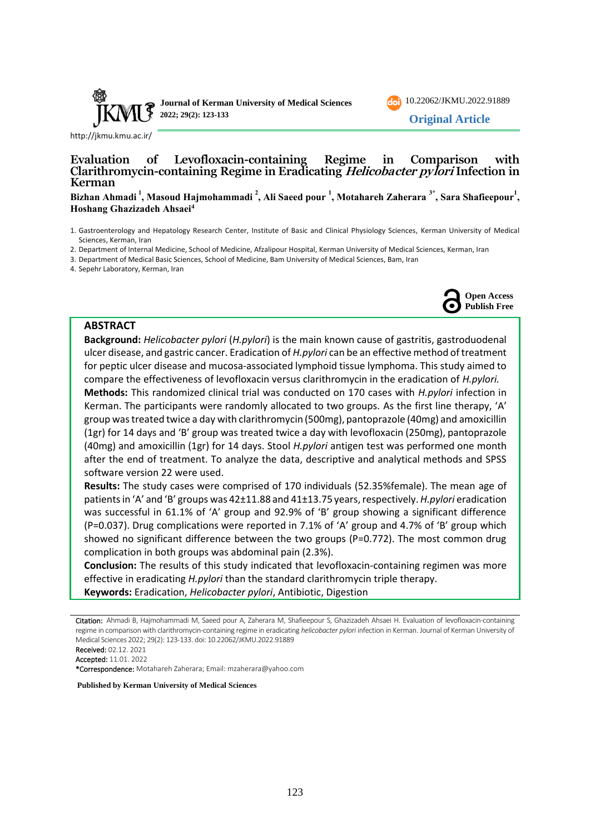



<http://jkmu.kmu.ac.ir/>

# **Evaluation of Levofloxacin-containing Regime in Comparison with Clarithromycin-containing Regime in Eradicating Helicobacter pylori Infection in Kerman**

#### **Bizhan Ahmadi <sup>1</sup> , Masoud Hajmohammadi <sup>2</sup> , Ali Saeed pour <sup>1</sup> , Motahareh Zaherara 3\* , Sara Shafieepour<sup>1</sup> , Hoshang Ghazizadeh Ahsaei<sup>4</sup>**

- 1. Gastroenterology and Hepatology Research Center, Institute of Basic and Clinical Physiology Sciences, Kerman University of Medical Sciences, Kerman, Iran
- 2. Department of Internal Medicine, School of Medicine, Afzalipour Hospital, Kerman University of Medical Sciences, Kerman, Iran
- 3. Department of Medical Basic Sciences, School of Medicine, Bam University of Medical Sciences, Bam, Iran

4. Sepehr Laboratory, Kerman, Iran



#### **ABSTRACT**

**Background:** *Helicobacter pylori* (*H.pylori*) is the main known cause of gastritis, gastroduodenal ulcer disease, and gastric cancer. Eradication of *H.pylori* can be an effective method of treatment for peptic ulcer disease and mucosa‐associated lymphoid tissue lymphoma. This study aimed to compare the effectiveness of levofloxacin versus clarithromycin in the eradication of *H.pylori.* **Methods:** This randomized clinical trial was conducted on 170 cases with *H.pylori* infection in Kerman. The participants were randomly allocated to two groups. As the first line therapy, 'A' group was treated twice a day with clarithromycin (500mg), pantoprazole (40mg) and amoxicillin (1gr) for 14 days and 'B' group was treated twice a day with levofloxacin (250mg), pantoprazole (40mg) and amoxicillin (1gr) for 14 days. Stool *H.pylori* antigen test was performed one month after the end of treatment. To analyze the data, descriptive and analytical methods and SPSS software version 22 were used.

**Results:** The study cases were comprised of 170 individuals (52.35%female). The mean age of patients in 'A' and 'B' groups was 42±11.88 and 41±13.75 years, respectively. *H.pylori* eradication was successful in 61.1% of 'A' group and 92.9% of 'B' group showing a significant difference (P=0.037). Drug complications were reported in 7.1% of 'A' group and 4.7% of 'B' group which showed no significant difference between the two groups (P=0.772). The most common drug complication in both groups was abdominal pain (2.3%).

**Conclusion:** The results of this study indicated that levofloxacin-containing regimen was more effective in eradicating *H.pylori* than the standard clarithromycin triple therapy.

**Keywords:** Eradication, *Helicobacter pylori*, Antibiotic, Digestion

Accepted: 11.01. 2022

\*Correspondence: Motahareh Zaherara; Email: [mzaherara@yahoo.com](mailto:mzaherara@yahoo.com) 

**Published by Kerman University of Medical Sciences**

Citation: Ahmadi B, Hajmohammadi M, Saeed pour A, Zaherara M, Shafieepour S, Ghazizadeh Ahsaei H. Evaluation of levofloxacin-containing regime in comparison with clarithromycin-containing regime in eradicating *helicobacter pylori* infection in Kerman. Journal of Kerman University of Medical Sciences 2022; 29(2): 123-133. doi: [10.22062/JKMU.2022.91889](https://dx.doi.org/10.22062/jkmu.2022.91889)

Received: 02.12. 2021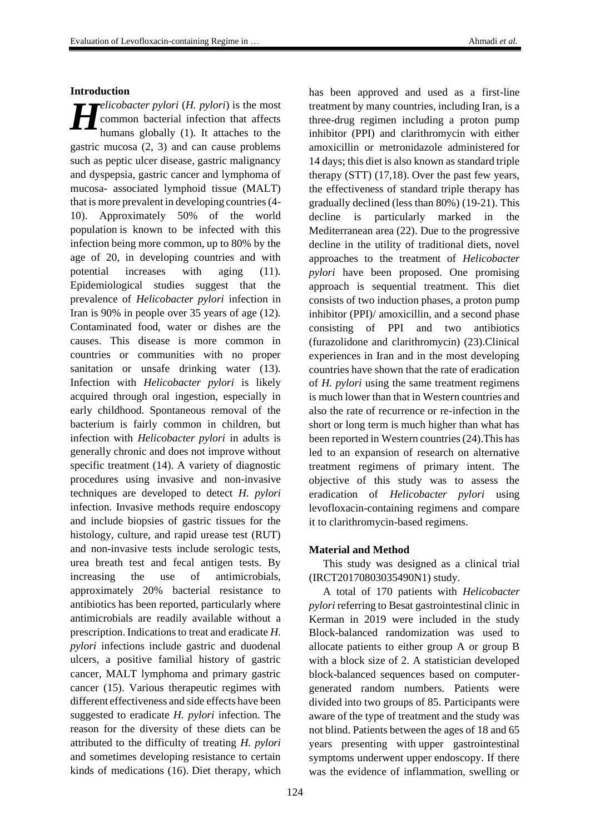#### **Introduction**

*elicobacter pylori* (*H. pylori*) is the most common bacterial infection that affects humans globally (1). It attaches to the gastric mucosa (2, 3) and can cause problems such as peptic ulcer disease, gastric malignancy and dyspepsia, gastric cancer and lymphoma of mucosa- associated lymphoid tissue (MALT) that is more prevalent in developing countries (4- 10). Approximately 50% of the world population is known to be infected with this infection being more common, up to 80% by the age of 20, in developing countries and with potential increases with aging (11). Epidemiological studies suggest that the prevalence of *Helicobacter pylori* infection in Iran is 90% in people over 35 years of age (12). Contaminated food, water or dishes are the causes. This disease is more common in countries or communities with no proper sanitation or unsafe drinking water (13). Infection with *Helicobacter pylori* is likely acquired through oral ingestion, especially in early childhood. Spontaneous removal of the bacterium is fairly common in children, but infection with *Helicobacter pylori* in adults is generally chronic and does not improve without specific treatment (14). A variety of diagnostic procedures using invasive and non-invasive techniques are developed to detect *H. pylori* infection. Invasive methods require endoscopy and include biopsies of gastric tissues for the histology, culture, and rapid urease test (RUT) and non-invasive tests include serologic tests, urea breath test and fecal antigen tests. By increasing the use of antimicrobials, approximately 20% bacterial resistance to antibiotics has been reported, particularly where antimicrobials are readily available without a prescription. Indications to treat and eradicate *H. pylori* infections include gastric and duodenal ulcers, a positive familial history of gastric cancer, MALT lymphoma and primary gastric cancer (15). Various therapeutic regimes with different effectiveness and side effects have been suggested to eradicate *H. pylori* infection. The reason for the diversity of these diets can be attributed to the difficulty of treating *H. pylori* and sometimes developing resistance to certain kinds of medications (16). Diet therapy, which *H*

has been approved and used as a first-line treatment by many countries, including Iran, is a three-drug regimen including a proton pump inhibitor (PPI) and clarithromycin with either amoxicillin or metronidazole administered for 14 days; this diet is also known as standard triple therapy (STT) (17,18). Over the past few years, the effectiveness of standard triple therapy has gradually declined (less than 80%) (19-21). This decline is particularly marked in the Mediterranean area (22). Due to the progressive decline in the utility of traditional diets, novel approaches to the treatment of *Helicobacter pylori* have been proposed. One promising approach is sequential treatment. This diet consists of two induction phases, a proton pump inhibitor (PPI)/ amoxicillin, and a second phase consisting of PPI and two antibiotics (furazolidone and clarithromycin) (23).Clinical experiences in Iran and in the most developing countries have shown that the rate of eradication of *H. pylori* using the same treatment regimens is much lower than that in Western countries and also the rate of recurrence or re-infection in the short or long term is much higher than what has been reported in Western countries (24).This has led to an expansion of research on alternative treatment regimens of primary intent. The objective of this study was to assess the eradication of *Helicobacter pylori* using levofloxacin-containing regimens and compare it to clarithromycin-based regimens.

#### **Material and Method**

This study was designed as a clinical trial (IRCT20170803035490N1) study.

A total of 170 patients with *Helicobacter pylori* referring to Besat gastrointestinal clinic in Kerman in 2019 were included in the study Block-balanced randomization was used to allocate patients to either group A or group B with a block size of 2. A statistician developed block-balanced sequences based on computergenerated random numbers. Patients were divided into two groups of 85. Participants were aware of the type of treatment and the study was not blind. Patients between the ages of 18 and 65 years presenting with upper gastrointestinal symptoms underwent upper endoscopy. If there was the evidence of inflammation, swelling or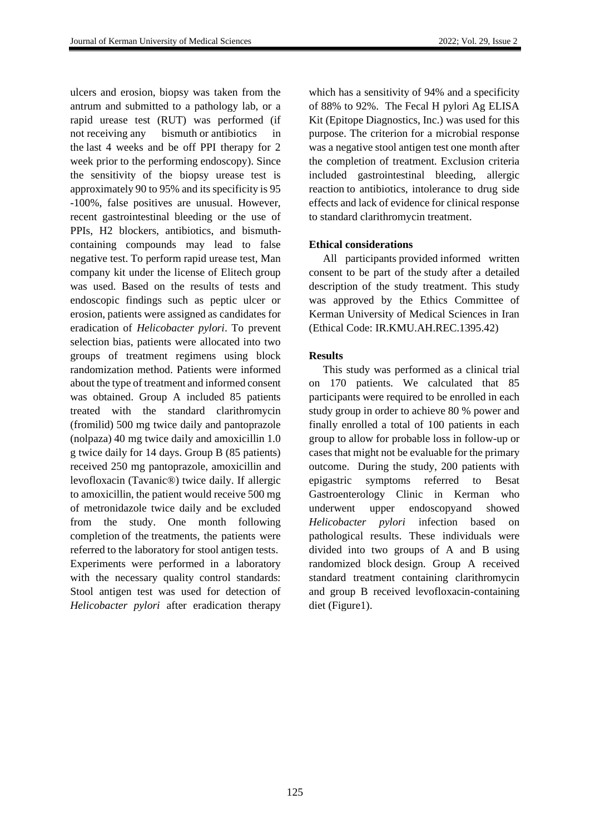ulcers and erosion, biopsy was taken from the antrum and submitted to a pathology lab, or a rapid urease test (RUT) was performed (if not receiving any bismuth or antibiotics in the last 4 weeks and be off PPI therapy for 2 week prior to the performing endoscopy). Since the sensitivity of the biopsy urease test is approximately 90 to 95% and its specificity is 95 -100%, false positives are unusual. However, recent gastrointestinal bleeding or the use of PPIs, H2 blockers, antibiotics, and bismuthcontaining compounds may lead to false negative test. To perform rapid urease test, Man company kit under the license of Elitech group was used. Based on the results of tests and endoscopic findings such as peptic ulcer or erosion, patients were assigned as candidates for eradication of *Helicobacter pylori*. To prevent selection bias, patients were allocated into two groups of treatment regimens using block randomization method. Patients were informed about the type of treatment and informed consent was obtained. Group A included 85 patients treated with the standard clarithromycin (fromilid) 500 mg twice daily and pantoprazole (nolpaza) 40 mg twice daily and amoxicillin 1.0 g twice daily for 14 days. Group B (85 patients) received 250 mg pantoprazole, amoxicillin and levofloxacin (Tavanic®) twice daily. If allergic to amoxicillin, the patient would receive 500 mg of metronidazole twice daily and be excluded from the study. One month following completion of the treatments, the patients were referred to the laboratory for stool antigen tests. Experiments were performed in a laboratory with the necessary quality control standards: Stool antigen test was used for detection of *Helicobacter pylori* after eradication therapy

which has a sensitivity of 94% and a specificity of 88% to 92%. The Fecal H pylori Ag ELISA Kit (Epitope Diagnostics, Inc.) was used for this purpose. The criterion for a microbial response was a negative stool antigen test one month after the completion of treatment. Exclusion criteria included gastrointestinal bleeding, allergic reaction to antibiotics, intolerance to drug side effects and lack of evidence for clinical response to standard clarithromycin treatment.

### **Ethical considerations**

All participants provided informed written consent to be part of the study after a detailed description of the study treatment. This study was approved by the Ethics Committee of Kerman University of Medical Sciences in Iran (Ethical Code: IR.KMU.AH.REC.1395.42)

### **Results**

This study was performed as a clinical trial on 170 patients. We calculated that 85 participants were required to be enrolled in each study group in order to achieve 80 % power and finally enrolled a total of 100 patients in each group to allow for probable loss in follow-up or cases that might not be evaluable for the primary outcome. During the study, 200 patients with epigastric symptoms referred to Besat Gastroenterology Clinic in Kerman who underwent upper endoscopyand showed *Helicobacter pylori* infection based on pathological results. These individuals were divided into two groups of A and B using randomized block design. Group A received standard treatment containing clarithromycin and group B received levofloxacin-containing diet (Figure1).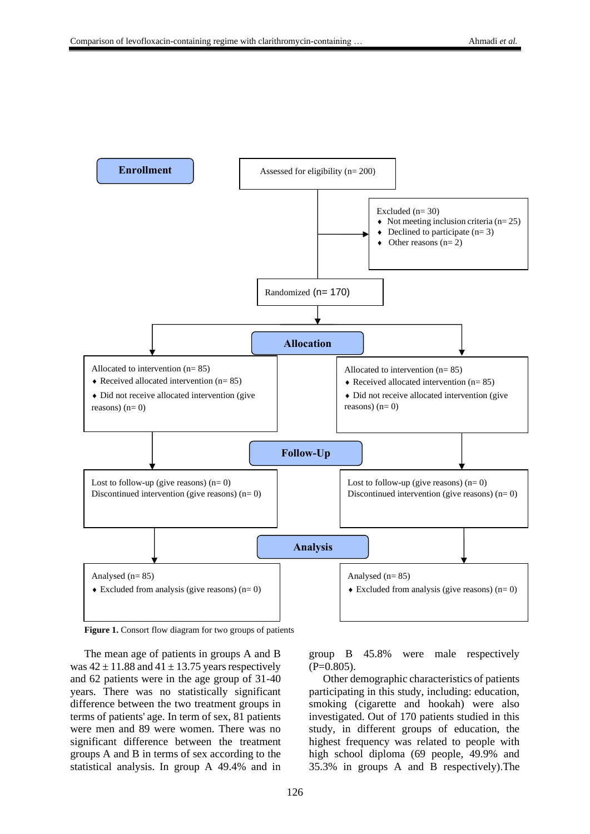

**Figure 1.** Consort flow diagram for two groups of patients

The mean age of patients in groups A and B was  $42 \pm 11.88$  and  $41 \pm 13.75$  years respectively and 62 patients were in the age group of 31-40 years. There was no statistically significant difference between the two treatment groups in terms of patients' age. In term of sex, 81 patients were men and 89 were women. There was no significant difference between the treatment groups A and B in terms of sex according to the statistical analysis. In group A 49.4% and in group B 45.8% were male respectively  $(P=0.805)$ .

Other demographic characteristics of patients participating in this study, including: education, smoking (cigarette and hookah) were also investigated. Out of 170 patients studied in this study, in different groups of education, the highest frequency was related to people with high school diploma (69 people, 49.9% and 35.3% in groups A and B respectively) .The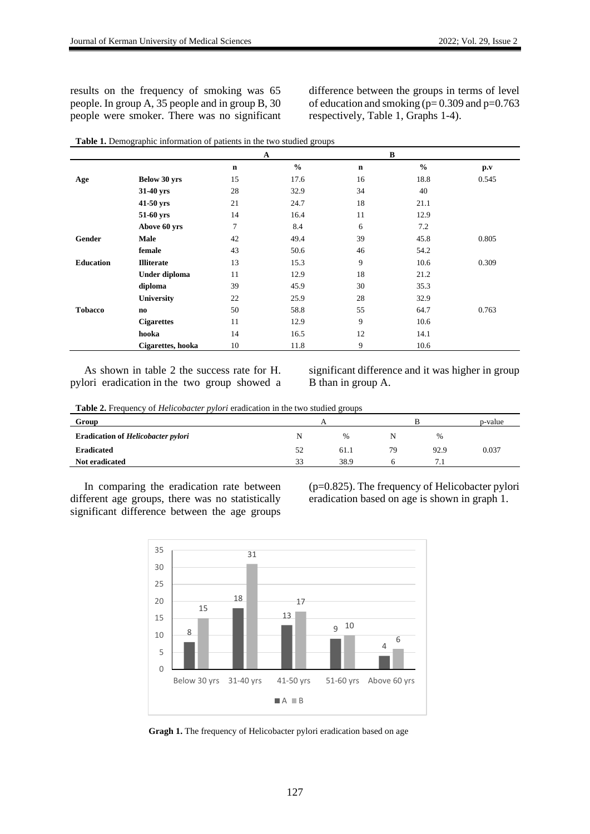results on the frequency of smoking was 65 people. In group A, 35 people and in group B, 30 people were smoker. There was no significant difference between the groups in terms of level of education and smoking ( $p= 0.309$  and  $p=0.763$ respectively, Table 1, Graphs 1-4).

|                  |                   |                | $\mathbf A$   |             | $\, {\bf B}$  |                         |
|------------------|-------------------|----------------|---------------|-------------|---------------|-------------------------|
|                  |                   | $\mathbf n$    | $\frac{0}{0}$ | $\mathbf n$ | $\frac{6}{6}$ | $\mathbf{p}.\mathbf{v}$ |
| Age              | Below 30 yrs      | 15             | 17.6          | 16          | 18.8          | 0.545                   |
|                  | 31-40 yrs         | 28             | 32.9          | 34          | 40            |                         |
|                  | 41-50 yrs         | 21             | 24.7          | 18          | 21.1          |                         |
|                  | 51-60 yrs         | 14             | 16.4          | 11          | 12.9          |                         |
|                  | Above 60 yrs      | $\overline{7}$ | 8.4           | 6           | 7.2           |                         |
| Gender           | Male              | 42             | 49.4          | 39          | 45.8          | 0.805                   |
|                  | female            | 43             | 50.6          | 46          | 54.2          |                         |
| <b>Education</b> | <b>Illiterate</b> | 13             | 15.3          | 9           | 10.6          | 0.309                   |
|                  | Under diploma     | 11             | 12.9          | 18          | 21.2          |                         |
|                  | diploma           | 39             | 45.9          | 30          | 35.3          |                         |
|                  | <b>University</b> | 22             | 25.9          | 28          | 32.9          |                         |
| <b>Tobacco</b>   | no.               | 50             | 58.8          | 55          | 64.7          | 0.763                   |
|                  | <b>Cigarettes</b> | 11             | 12.9          | 9           | 10.6          |                         |
|                  | hooka             | 14             | 16.5          | 12          | 14.1          |                         |
|                  | Cigarettes, hooka | 10             | 11.8          | 9           | 10.6          |                         |

| Table 1. Demographic information of patients in the two studied groups |  |
|------------------------------------------------------------------------|--|
|------------------------------------------------------------------------|--|

As shown in table 2 the success rate for H. pylori eradication in the two group showed a significant difference and it was higher in group B than in group A.

**Table 2.** Frequency of *Helicobacter pylori* eradication in the two studied groups

| Group                                     |    |      |    |      | p-value |
|-------------------------------------------|----|------|----|------|---------|
| <b>Eradication of Helicobacter pylori</b> | N  | %    |    | $\%$ |         |
| <b>Eradicated</b>                         | 52 | 61.1 | 79 | 92.9 | 0.037   |
| Not eradicated                            | 33 | 38.9 |    | 7.1  |         |

In comparing the eradication rate between different age groups, there was no statistically significant difference between the age groups

(p=0.825). The frequency of Helicobacter pylori eradication based on age is shown in graph 1.



**Gragh 1.** The frequency of Helicobacter pylori eradication based on age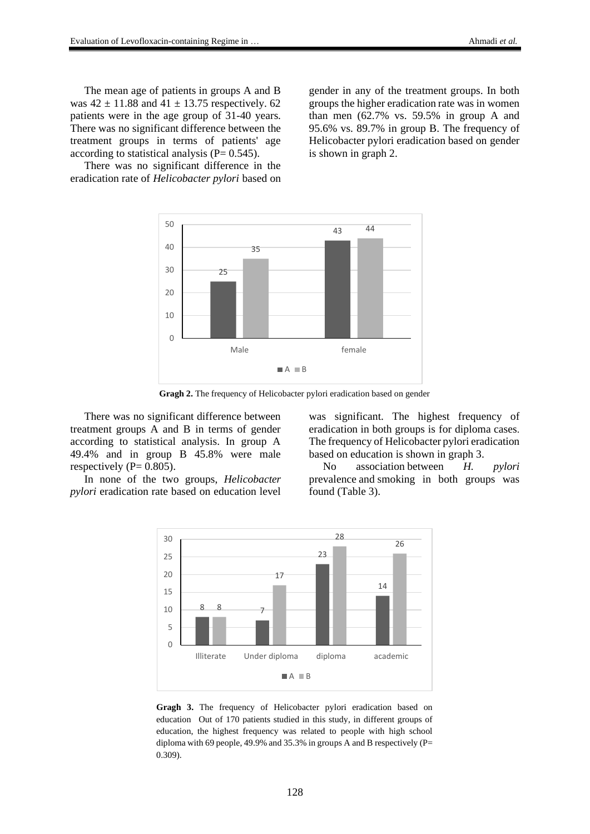The mean age of patients in groups A and B was  $42 \pm 11.88$  and  $41 \pm 13.75$  respectively. 62 patients were in the age group of 31-40 years. There was no significant difference between the treatment groups in terms of patients' age according to statistical analysis  $(P= 0.545)$ .

There was no significant difference in the eradication rate of *Helicobacter pylori* based on gender in any of the treatment groups. In both groups the higher eradication rate was in women than men (62.7% vs. 59.5% in group A and 95.6% vs. 89.7% in group B. The frequency of Helicobacter pylori eradication based on gender is shown in graph 2.



**Gragh 2.** The frequency of Helicobacter pylori eradication based on gender

There was no significant difference between treatment groups A and B in terms of gender according to statistical analysis. In group A 49.4% and in group B 45.8% were male respectively ( $P= 0.805$ ).

In none of the two groups, *Helicobacter pylori* eradication rate based on education level was significant. The highest frequency of eradication in both groups is for diploma cases. The frequency of Helicobacter pylori eradication based on education is shown in graph 3.

No association between *H. pylori* prevalence and smoking in both groups was found (Table 3).



**Gragh 3.** The frequency of Helicobacter pylori eradication based on education Out of 170 patients studied in this study, in different groups of education, the highest frequency was related to people with high school diploma with 69 people, 49.9% and 35.3% in groups A and B respectively (P= 0.309).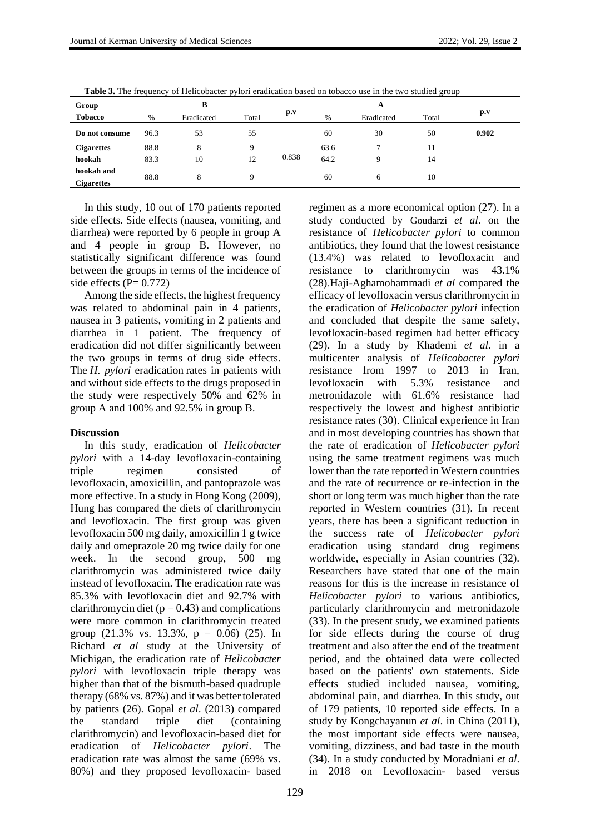| Group                           | B    |            |             |       | A    |               |       |       |
|---------------------------------|------|------------|-------------|-------|------|---------------|-------|-------|
| <b>Tobacco</b>                  | $\%$ | Eradicated | Total       | p.v   | $\%$ | Eradicated    | Total | p.v   |
| Do not consume                  | 96.3 | 53         | 55          |       | 60   | 30            | 50    | 0.902 |
| <b>Cigarettes</b>               | 88.8 | 8          | $\mathbf Q$ | 0.838 | 63.6 | $\mathcal{I}$ | 11    |       |
| hookah                          | 83.3 | 10         | 12          |       | 64.2 | $\mathbf Q$   | 14    |       |
| hookah and<br><b>Cigarettes</b> | 88.8 | 8          | 9           |       | 60   | 6             | 10    |       |

Table 3. The frequency of Helicobacter pylori eradication based on tobacco use in the two studied group

In this study, 10 out of 170 patients reported side effects. Side effects (nausea, vomiting, and diarrhea) were reported by 6 people in group A and 4 people in group B. However, no statistically significant difference was found between the groups in terms of the incidence of side effects ( $P= 0.772$ )

Among the side effects, the highest frequency was related to abdominal pain in 4 patients, nausea in 3 patients, vomiting in 2 patients and diarrhea in 1 patient. The frequency of eradication did not differ significantly between the two groups in terms of drug side effects. The *H. pylori* eradication rates in patients with and without side effects to the drugs proposed in the study were respectively 50% and 62% in group A and 100% and 92.5% in group B.

#### **Discussion**

In this study, eradication of *Helicobacter pylori* with a 14-day levofloxacin-containing triple regimen consisted of levofloxacin, amoxicillin, and pantoprazole was more effective. In a study in Hong Kong (2009), Hung has compared the diets of clarithromycin and levofloxacin. The first group was given levofloxacin 500 mg daily, amoxicillin 1 g twice daily and omeprazole 20 mg twice daily for one week. In the second group, 500 mg clarithromycin was administered twice daily instead of levofloxacin. The eradication rate was 85.3% with levofloxacin diet and 92.7% with clarithromycin diet ( $p = 0.43$ ) and complications were more common in clarithromycin treated group  $(21.3\% \text{ vs. } 13.3\%, \text{ p } = 0.06)$   $(25)$ . In Richard *et al* study at the University of Michigan, the eradication rate of *Helicobacter pylori* with levofloxacin triple therapy was higher than that of the bismuth-based quadruple therapy (68% vs. 87%) and it was better tolerated by patients (26). Gopal *et al*. (2013) compared the standard triple diet (containing clarithromycin) and levofloxacin-based diet for eradication of *Helicobacter pylori*. The eradication rate was almost the same (69% vs. 80%) and they proposed levofloxacin- based

regimen as a more economical option (27). In a study conducted by Goudarzi *et al*. on the resistance of *Helicobacter pylori* to common antibiotics, they found that the lowest resistance (13.4%) was related to levofloxacin and resistance to clarithromycin was 43.1% (28)[.Haji-Aghamohammadi](https://www.ncbi.nlm.nih.gov/pubmed/?term=Haji-Aghamohammadi%20AA%5BAuthor%5D&cauthor=true&cauthor_uid=27999644) *et al* compared the efficacy of levofloxacin versus clarithromycin in the eradication of *Helicobacter pylori* infection and concluded that despite the same safety, levofloxacin-based regimen had better efficacy (29). In a study by Khademi *et al.* in a multicenter analysis of *Helicobacter pylori* resistance from 1997 to 2013 in Iran, levofloxacin with 5.3% resistance and metronidazole with 61.6% resistance had respectively the lowest and highest antibiotic resistance rates (30). Clinical experience in Iran and in most developing countries has shown that the rate of eradication of *Helicobacter pylori* using the same treatment regimens was much lower than the rate reported in Western countries and the rate of recurrence or re-infection in the short or long term was much higher than the rate reported in Western countries (31). In recent years, there has been a significant reduction in the success rate of *Helicobacter pylori* eradication using standard drug regimens worldwide, especially in Asian countries (32). Researchers have stated that one of the main reasons for this is the increase in resistance of *Helicobacter pylori* to various antibiotics, particularly clarithromycin and metronidazole (33). In the present study, we examined patients for side effects during the course of drug treatment and also after the end of the treatment period, and the obtained data were collected based on the patients' own statements. Side effects studied included nausea, vomiting, abdominal pain, and diarrhea. In this study, out of 179 patients, 10 reported side effects. In a study by Kongchayanun *et al*. in China (2011), the most important side effects were nausea, vomiting, dizziness, and bad taste in the mouth (34). In a study conducted by Moradniani *et al*. in 2018 on Levofloxacin- based versus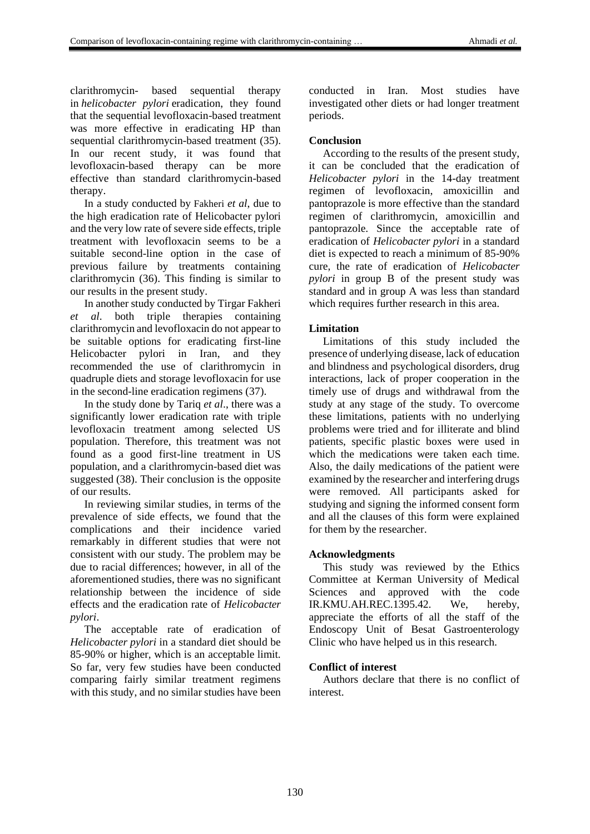clarithromycin- based sequential therapy in *helicobacter pylori* eradication, they found that the sequential levofloxacin-based treatment was more effective in eradicating HP than sequential clarithromycin-based treatment (35). In our recent study, it was found that levofloxacin-based therapy can be more effective than standard clarithromycin-based therapy.

In a study conducted by Fakheri *et al*, due to the high eradication rate of Helicobacter pylori and the very low rate of severe side effects, triple treatment with levofloxacin seems to be a suitable second-line option in the case of previous failure by treatments containing clarithromycin (36). This finding is similar to our results in the present study.

In another study conducted by Tirgar Fakheri *et al*. both triple therapies containing clarithromycin and levofloxacin do not appear to be suitable options for eradicating first-line Helicobacter pylori in Iran, and they recommended the use of clarithromycin in quadruple diets and storage levofloxacin for use in the second-line eradication regimens (37).

In the study done by Tariq *et al*., there was a significantly lower eradication rate with triple levofloxacin treatment among selected US population. Therefore, this treatment was not found as a good first-line treatment in US population, and a clarithromycin-based diet was suggested (38). Their conclusion is the opposite of our results.

In reviewing similar studies, in terms of the prevalence of side effects, we found that the complications and their incidence varied remarkably in different studies that were not consistent with our study. The problem may be due to racial differences; however, in all of the aforementioned studies, there was no significant relationship between the incidence of side effects and the eradication rate of *Helicobacter pylori*.

The acceptable rate of eradication of *Helicobacter pylori* in a standard diet should be 85-90% or higher, which is an acceptable limit. So far, very few studies have been conducted comparing fairly similar treatment regimens with this study, and no similar studies have been conducted in Iran. Most studies have investigated other diets or had longer treatment periods.

# **Conclusion**

According to the results of the present study, it can be concluded that the eradication of *Helicobacter pylori* in the 14-day treatment regimen of levofloxacin, amoxicillin and pantoprazole is more effective than the standard regimen of clarithromycin, amoxicillin and pantoprazole. Since the acceptable rate of eradication of *Helicobacter pylori* in a standard diet is expected to reach a minimum of 85-90% cure, the rate of eradication of *Helicobacter pylori* in group B of the present study was standard and in group A was less than standard which requires further research in this area.

# **Limitation**

Limitations of this study included the presence of underlying disease, lack of education and blindness and psychological disorders, drug interactions, lack of proper cooperation in the timely use of drugs and withdrawal from the study at any stage of the study. To overcome these limitations, patients with no underlying problems were tried and for illiterate and blind patients, specific plastic boxes were used in which the medications were taken each time. Also, the daily medications of the patient were examined by the researcher and interfering drugs were removed. All participants asked for studying and signing the informed consent form and all the clauses of this form were explained for them by the researcher.

### **Acknowledgments**

This study was reviewed by the Ethics Committee at Kerman University of Medical Sciences and approved with the code IR.KMU.AH.REC.1395.42. We, hereby, appreciate the efforts of all the staff of the Endoscopy Unit of Besat Gastroenterology Clinic who have helped us in this research.

# **Conflict of interest**

Authors declare that there is no conflict of interest.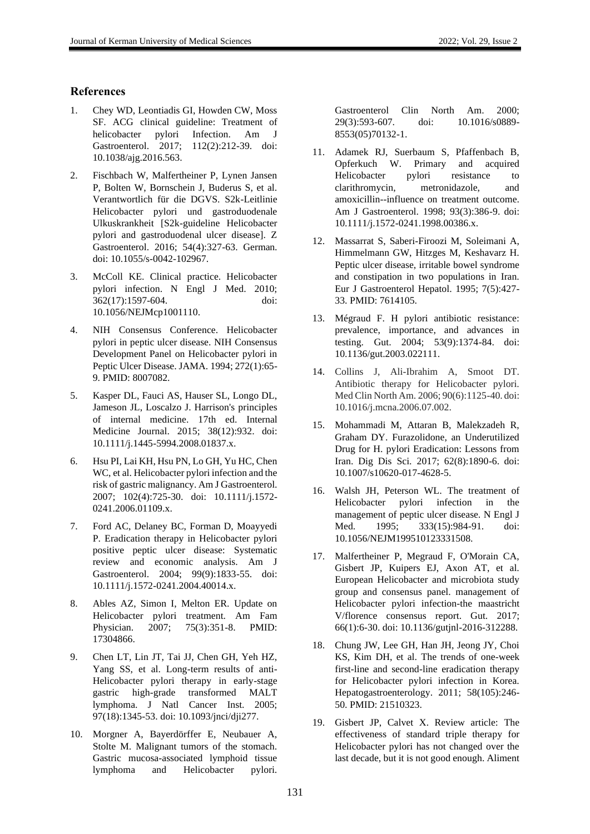### **References**

- 1. Chey WD, Leontiadis GI, Howden CW, Moss SF. ACG clinical guideline: Treatment of<br>helicobacter pylori Infection. Am J helicobacter pylori Infection. Am J Gastroenterol. 2017; 112(2):212-39. doi: 10.1038/ajg.2016.563.
- 2. Fischbach W, Malfertheiner P, Lynen Jansen P, Bolten W, Bornschein J, Buderus S, et al. Verantwortlich für die DGVS. S2k-Leitlinie Helicobacter pylori und gastroduodenale Ulkuskrankheit [S2k-guideline Helicobacter pylori and gastroduodenal ulcer disease]. Z Gastroenterol. 2016; 54(4):327-63. German. doi: 10.1055/s-0042-102967.
- 3. McColl KE. Clinical practice. Helicobacter pylori infection. N Engl J Med. 2010; 362(17):1597-604. doi: 10.1056/NEJMcp1001110.
- 4. NIH Consensus Conference. Helicobacter pylori in peptic ulcer disease. NIH Consensus Development Panel on Helicobacter pylori in Peptic Ulcer Disease. JAMA. 1994; 272(1):65- 9. PMID: 8007082.
- 5. Kasper DL, Fauci AS, Hauser SL, Longo DL, Jameson JL, Loscalzo J. Harrison's principles of internal medicine. 17th ed. Internal Medicine Journal. 2015; 38(12):932. doi: 10.1111/j.1445-5994.2008.01837.x.
- 6. Hsu PI, Lai KH, Hsu PN, Lo GH, Yu HC, Chen WC, et al. Helicobacter pylori infection and the risk of gastric malignancy. Am J Gastroenterol. 2007; 102(4):725-30. doi: 10.1111/j.1572- 0241.2006.01109.x.
- 7. Ford AC, Delaney BC, Forman D, Moayyedi P. Eradication therapy in Helicobacter pylori positive peptic ulcer disease: Systematic review and economic analysis. Am J Gastroenterol. 2004; 99(9):1833-55. doi: 10.1111/j.1572-0241.2004.40014.x.
- 8. Ables AZ, Simon I, Melton ER. Update on Helicobacter pylori treatment. Am Fam Physician. 2007; 75(3):351-8. PMID: 17304866.
- 9. Chen LT, Lin JT, Tai JJ, Chen GH, Yeh HZ, Yang SS, et al. Long-term results of anti-Helicobacter pylori therapy in early-stage gastric high-grade transformed MALT lymphoma. J Natl Cancer Inst. 2005; 97(18):1345-53. doi: 10.1093/jnci/dji277.
- 10. Morgner A, Bayerdörffer E, Neubauer A, Stolte M. Malignant tumors of the stomach. Gastric mucosa-associated lymphoid tissue lymphoma and Helicobacter pylori.

Gastroenterol Clin North Am. 2000; 29(3):593-607. doi: 10.1016/s0889- 8553(05)70132-1.

- 11. Adamek RJ, Suerbaum S, Pfaffenbach B, Opferkuch W. Primary and acquired Helicobacter pylori resistance to clarithromycin, metronidazole, and amoxicillin--influence on treatment outcome. Am J Gastroenterol. 1998; 93(3):386-9. doi: 10.1111/j.1572-0241.1998.00386.x.
- 12. Massarrat S, Saberi-Firoozi M, Soleimani A, Himmelmann GW, Hitzges M, Keshavarz H. Peptic ulcer disease, irritable bowel syndrome and constipation in two populations in Iran. Eur J Gastroenterol Hepatol. 1995; 7(5):427- 33. PMID: 7614105.
- 13. Mégraud F. H pylori antibiotic resistance: prevalence, importance, and advances in testing. Gut. 2004; 53(9):1374-84. doi: 10.1136/gut.2003.022111.
- 14. Collins J, Ali-Ibrahim A, Smoot DT. Antibiotic therapy for Helicobacter pylori. Med Clin North Am. 2006; 90(6):1125-40. doi: 10.1016/j.mcna.2006.07.002.
- 15. Mohammadi M, Attaran B, Malekzadeh R, Graham DY. Furazolidone, an Underutilized Drug for H. pylori Eradication: Lessons from Iran. Dig Dis Sci. 2017; 62(8):1890-6. doi: 10.1007/s10620-017-4628-5.
- 16. Walsh JH, Peterson WL. The treatment of Helicobacter pylori infection in the management of peptic ulcer disease. N Engl J Med. 1995; 333(15):984-91. doi: 10.1056/NEJM199510123331508.
- 17. Malfertheiner P, Megraud F, O'Morain CA, Gisbert JP, Kuipers EJ, Axon AT, et al. European Helicobacter and microbiota study group and consensus panel. management of Helicobacter pylori infection-the maastricht V/florence consensus report. Gut. 2017; 66(1):6-30. doi: 10.1136/gutjnl-2016-312288.
- 18. Chung JW, Lee GH, Han JH, Jeong JY, Choi KS, Kim DH, et al. The trends of one-week first-line and second-line eradication therapy for Helicobacter pylori infection in Korea. Hepatogastroenterology. 2011; 58(105):246- 50. PMID: 21510323.
- 19. Gisbert JP, Calvet X. Review article: The effectiveness of standard triple therapy for Helicobacter pylori has not changed over the last decade, but it is not good enough. Aliment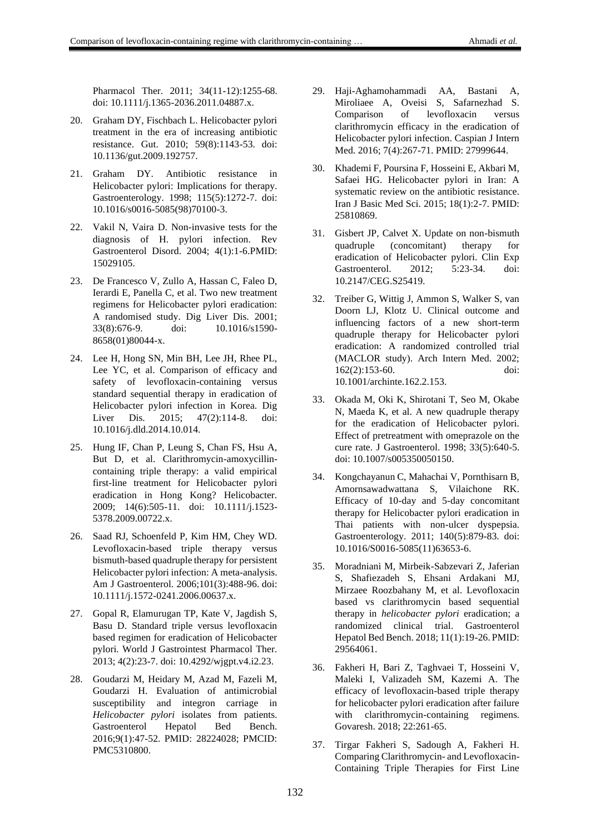Pharmacol Ther. 2011; 34(11-12):1255-68. doi: 10.1111/j.1365-2036.2011.04887.x.

- 20. Graham DY, Fischbach L. Helicobacter pylori treatment in the era of increasing antibiotic resistance. Gut. 2010; 59(8):1143-53. doi: 10.1136/gut.2009.192757.
- 21. Graham DY. Antibiotic resistance in Helicobacter pylori: Implications for therapy. Gastroenterology. 1998; 115(5):1272-7. doi: 10.1016/s0016-5085(98)70100-3.
- 22. Vakil N, Vaira D. Non-invasive tests for the diagnosis of H. pylori infection. Rev Gastroenterol Disord. 2004; 4(1):1-6.PMID: 15029105.
- 23. De Francesco V, Zullo A, Hassan C, Faleo D, Ierardi E, Panella C, et al. Two new treatment regimens for Helicobacter pylori eradication: A randomised study. Dig Liver Dis. 2001; 33(8):676-9. doi: 10.1016/s1590- 8658(01)80044-x.
- 24. Lee H, Hong SN, Min BH, Lee JH, Rhee PL, Lee YC, et al. Comparison of efficacy and safety of levofloxacin-containing versus standard sequential therapy in eradication of Helicobacter pylori infection in Korea. Dig Liver Dis. 2015; 47(2):114-8. doi: 10.1016/j.dld.2014.10.014.
- 25. Hung IF, Chan P, Leung S, Chan FS, Hsu A, But D, et al. Clarithromycin-amoxycillincontaining triple therapy: a valid empirical first-line treatment for Helicobacter pylori eradication in Hong Kong? Helicobacter. 2009; 14(6):505-11. doi: 10.1111/j.1523- 5378.2009.00722.x.
- 26. Saad RJ, Schoenfeld P, Kim HM, Chey WD. Levofloxacin-based triple therapy versus bismuth-based quadruple therapy for persistent Helicobacter pylori infection: A meta-analysis. Am J Gastroenterol. 2006;101(3):488-96. doi: 10.1111/j.1572-0241.2006.00637.x.
- 27. Gopal R, Elamurugan TP, Kate V, Jagdish S, Basu D. Standard triple versus levofloxacin based regimen for eradication of Helicobacter pylori. World J Gastrointest Pharmacol Ther. 2013; 4(2):23-7. doi: 10.4292/wjgpt.v4.i2.23.
- 28. Goudarzi M, Heidary M, Azad M, Fazeli M, Goudarzi H. Evaluation of antimicrobial susceptibility and integron carriage in *Helicobacter pylori* isolates from patients. Gastroenterol Hepatol Bed Bench. 2016;9(1):47-52. PMID: 28224028; PMCID: PMC5310800.
- 29. Haji-Aghamohammadi AA, Bastani A, Miroliaee A, Oveisi S, Safarnezhad S. Comparison of levofloxacin versus clarithromycin efficacy in the eradication of Helicobacter pylori infection. Caspian J Intern Med. 2016; 7(4):267-71. PMID: 27999644.
- 30. Khademi F, Poursina F, Hosseini E, Akbari M, Safaei HG. Helicobacter pylori in Iran: A systematic review on the antibiotic resistance. Iran J Basic Med Sci. 2015; 18(1):2-7. PMID: 25810869.
- 31. Gisbert JP, Calvet X. Update on non-bismuth quadruple (concomitant) therapy for eradication of Helicobacter pylori. Clin Exp Gastroenterol. 2012; 5:23-34. doi: 10.2147/CEG.S25419.
- 32. Treiber G, Wittig J, Ammon S, Walker S, van Doorn LJ, Klotz U. Clinical outcome and influencing factors of a new short-term quadruple therapy for Helicobacter pylori eradication: A randomized controlled trial (MACLOR study). Arch Intern Med. 2002; 162(2):153-60. doi: 10.1001/archinte.162.2.153.
- 33. Okada M, Oki K, Shirotani T, Seo M, Okabe N, Maeda K, et al. A new quadruple therapy for the eradication of Helicobacter pylori. Effect of pretreatment with omeprazole on the cure rate. J Gastroenterol. 1998; 33(5):640-5. doi: 10.1007/s005350050150.
- 34. Kongchayanun C, Mahachai V, Pornthisarn B, Amornsawadwattana S, Vilaichone RK. Efficacy of 10-day and 5-day concomitant therapy for Helicobacter pylori eradication in Thai patients with non-ulcer dyspepsia. Gastroenterology. 2011; 140(5):879-83. doi: 10.1016/S0016-5085(11)63653-6.
- 35. Moradniani M, Mirbeik-Sabzevari Z, Jaferian S, Shafiezadeh S, Ehsani Ardakani MJ, Mirzaee Roozbahany M, et al. Levofloxacin based vs clarithromycin based sequential therapy in *helicobacter pylori* eradication; a randomized clinical trial. Gastroenterol Hepatol Bed Bench. 2018; 11(1):19-26. PMID: 29564061.
- 36. Fakheri H, Bari Z, Taghvaei T, Hosseini V, Maleki I, Valizadeh SM, Kazemi A. The efficacy of levofloxacin-based triple therapy for helicobacter pylori eradication after failure with clarithromycin-containing regimens. Govaresh. 2018; 22:261-65.
- 37. Tirgar Fakheri S, Sadough A, Fakheri H. Comparing Clarithromycin- and Levofloxacin-Containing Triple Therapies for First Line